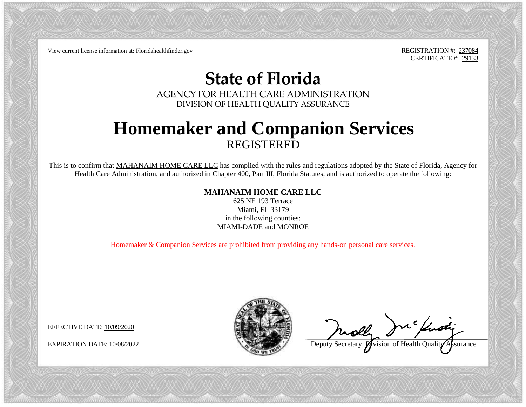View current license information at: Floridahealthfinder.gov REGISTRATION #: 237084

CERTIFICATE #: 29133

## **State of Florida**

AGENCY FOR HEALTH CARE ADMINISTRATION DIVISION OF HEALTH QUALITY ASSURANCE

## **Homemaker and Companion Services** REGISTERED

This is to confirm that MAHANAIM HOME CARE LLC has complied with the rules and regulations adopted by the State of Florida, Agency for Health Care Administration, and authorized in Chapter 400, Part III, Florida Statutes, and is authorized to operate the following:

## **MAHANAIM HOME CARE LLC**

625 NE 193 Terrace Miami, FL 33179 in the following counties: MIAMI-DADE and MONROE

Homemaker & Companion Services are prohibited from providing any hands-on personal care services.

EFFECTIVE DATE: 10/09/2020



chisty

EXPIRATION DATE: 10/08/2022 **Deputy Secretary, Division of Health Quality Assurance**